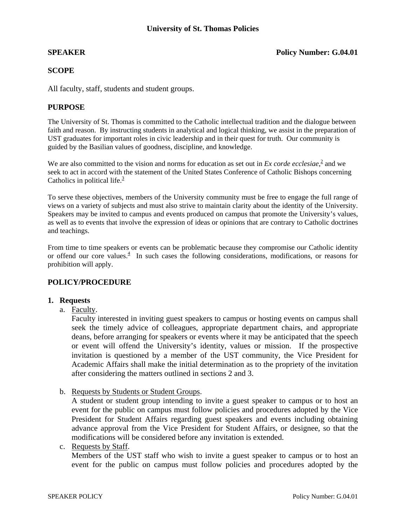#### **SPEAKER** Policy Number: G.04.01

#### **SCOPE**

All faculty, staff, students and student groups.

#### **PURPOSE**

The University of St. Thomas is committed to the Catholic intellectual tradition and the dialogue between faith and reason. By instructing students in analytical and logical thinking, we assist in the preparation of UST graduates for important roles in civic leadership and in their quest for truth. Our community is guided by the Basilian values of goodness, discipline, and knowledge.

We are also committed to the vision and norms for education as set out in  $Ex$  *corde ecclesiae*, $\frac{2}{3}$  and we seek to act in accord with the statement of the United States Conference of Catholic Bishops concerning Catholics in political life. $\frac{3}{5}$ 

To serve these objectives, members of the University community must be free to engage the full range of views on a variety of subjects and must also strive to maintain clarity about the identity of the University. Speakers may be invited to campus and events produced on campus that promote the University's values, as well as to events that involve the expression of ideas or opinions that are contrary to Catholic doctrines and teachings.

From time to time speakers or events can be problematic because they compromise our Catholic identity or offend our core values.<sup>4</sup> In such cases the following considerations, modifications, or reasons for prohibition will apply.

## **POLICY/PROCEDURE**

#### **1. Requests**

a. Faculty.

Faculty interested in inviting guest speakers to campus or hosting events on campus shall seek the timely advice of colleagues, appropriate department chairs, and appropriate deans, before arranging for speakers or events where it may be anticipated that the speech or event will offend the University's identity, values or mission. If the prospective invitation is questioned by a member of the UST community, the Vice President for Academic Affairs shall make the initial determination as to the propriety of the invitation after considering the matters outlined in sections 2 and 3.

b. Requests by Students or Student Groups.

A student or student group intending to invite a guest speaker to campus or to host an event for the public on campus must follow policies and procedures adopted by the Vice President for Student Affairs regarding guest speakers and events including obtaining advance approval from the Vice President for Student Affairs, or designee, so that the modifications will be considered before any invitation is extended.

#### c. Requests by Staff.

Members of the UST staff who wish to invite a guest speaker to campus or to host an event for the public on campus must follow policies and procedures adopted by the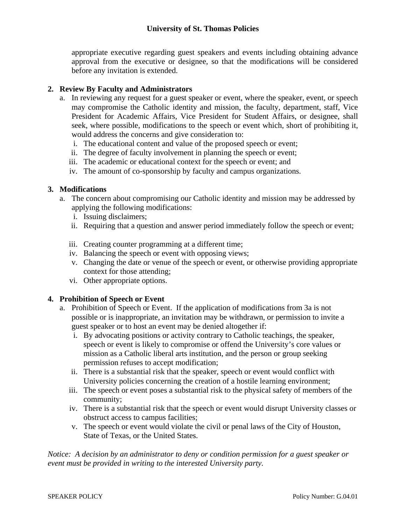# **University of St. Thomas Policies**

appropriate executive regarding guest speakers and events including obtaining advance approval from the executive or designee, so that the modifications will be considered before any invitation is extended.

## **2. Review By Faculty and Administrators**

- a. In reviewing any request for a guest speaker or event, where the speaker, event, or speech may compromise the Catholic identity and mission, the faculty, department, staff, Vice President for Academic Affairs, Vice President for Student Affairs, or designee, shall seek, where possible, modifications to the speech or event which, short of prohibiting it, would address the concerns and give consideration to:
	- i. The educational content and value of the proposed speech or event;
	- ii. The degree of faculty involvement in planning the speech or event;
	- iii. The academic or educational context for the speech or event; and
	- iv. The amount of co-sponsorship by faculty and campus organizations.

## **3. Modifications**

- a. The concern about compromising our Catholic identity and mission may be addressed by applying the following modifications:
	- i. Issuing disclaimers;
	- ii. Requiring that a question and answer period immediately follow the speech or event;
	- iii. Creating counter programming at a different time;
	- iv. Balancing the speech or event with opposing views;
	- v. Changing the date or venue of the speech or event, or otherwise providing appropriate context for those attending;
	- vi. Other appropriate options.

## **4. Prohibition of Speech or Event**

- a. Prohibition of Speech or Event. If the application of modifications from 3a is not possible or is inappropriate, an invitation may be withdrawn, or permission to invite a guest speaker or to host an event may be denied altogether if:
	- i. By advocating positions or activity contrary to Catholic teachings, the speaker, speech or event is likely to compromise or offend the University's core values or mission as a Catholic liberal arts institution, and the person or group seeking permission refuses to accept modification;
	- ii. There is a substantial risk that the speaker, speech or event would conflict with University policies concerning the creation of a hostile learning environment;
	- iii. The speech or event poses a substantial risk to the physical safety of members of the community;
	- iv. There is a substantial risk that the speech or event would disrupt University classes or obstruct access to campus facilities;
	- v. The speech or event would violate the civil or penal laws of the City of Houston, State of Texas, or the United States.

*Notice: A decision by an administrator to deny or condition permission for a guest speaker or event must be provided in writing to the interested University party.*